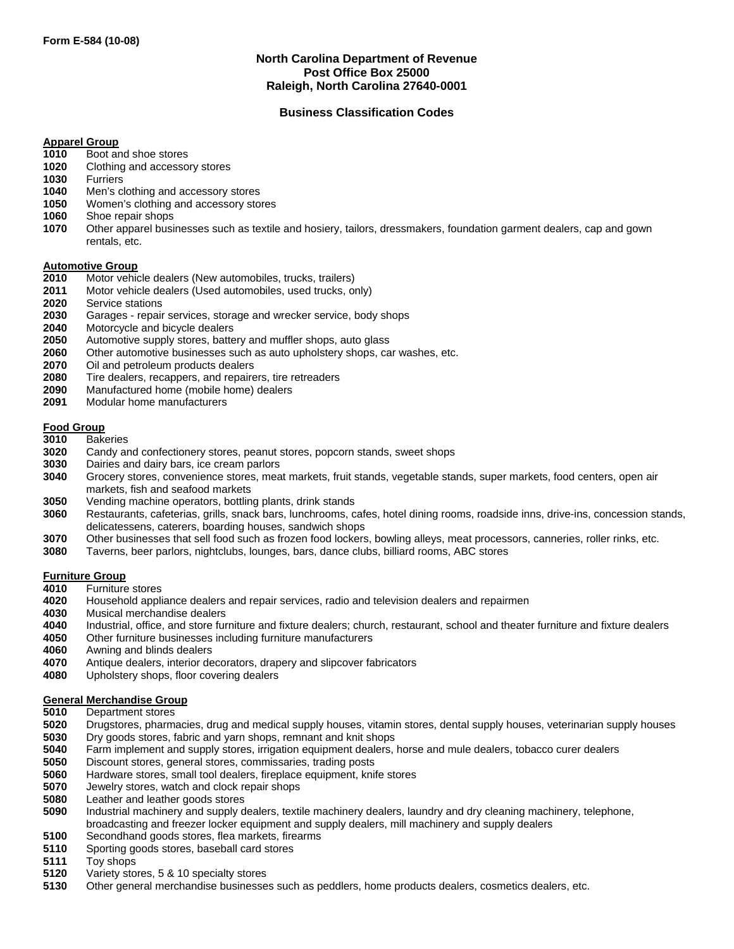# **North Carolina Department of Revenue Post Office Box 25000 Raleigh, North Carolina 27640-0001**

# **Business Classification Codes**

## **Apparel Group**

- Boot and shoe stores
- Clothing and accessory stores
- Furriers
- Men's clothing and accessory stores
- Women's clothing and accessory stores
- Shoe repair shops
- Other apparel businesses such as textile and hosiery, tailors, dressmakers, foundation garment dealers, cap and gown rentals, etc.

#### **Automotive Group**

- Motor vehicle dealers (New automobiles, trucks, trailers)
- Motor vehicle dealers (Used automobiles, used trucks, only)
- Service stations
- Garages repair services, storage and wrecker service, body shops
- Motorcycle and bicycle dealers
- Automotive supply stores, battery and muffler shops, auto glass
- Other automotive businesses such as auto upholstery shops, car washes, etc.
- Oil and petroleum products dealers
- Tire dealers, recappers, and repairers, tire retreaders
- Manufactured home (mobile home) dealers
- Modular home manufacturers

## **Food Group**

- Bakeries
- Candy and confectionery stores, peanut stores, popcorn stands, sweet shops
- Dairies and dairy bars, ice cream parlors
- Grocery stores, convenience stores, meat markets, fruit stands, vegetable stands, super markets, food centers, open air markets, fish and seafood markets
- Vending machine operators, bottling plants, drink stands
- Restaurants, cafeterias, grills, snack bars, lunchrooms, cafes, hotel dining rooms, roadside inns, drive-ins, concession stands, delicatessens, caterers, boarding houses, sandwich shops
- Other businesses that sell food such as frozen food lockers, bowling alleys, meat processors, canneries, roller rinks, etc.
- Taverns, beer parlors, nightclubs, lounges, bars, dance clubs, billiard rooms, ABC stores

## **Furniture Group**

- Furniture stores
- Household appliance dealers and repair services, radio and television dealers and repairmen
- Musical merchandise dealers
- Industrial, office, and store furniture and fixture dealers; church, restaurant, school and theater furniture and fixture dealers
- Other furniture businesses including furniture manufacturers
- Awning and blinds dealers
- Antique dealers, interior decorators, drapery and slipcover fabricators
- Upholstery shops, floor covering dealers

## **General Merchandise Group**

- Department stores
- Drugstores, pharmacies, drug and medical supply houses, vitamin stores, dental supply houses, veterinarian supply houses Dry goods stores, fabric and yarn shops, remnant and knit shops
- Farm implement and supply stores, irrigation equipment dealers, horse and mule dealers, tobacco curer dealers
- Discount stores, general stores, commissaries, trading posts
- Hardware stores, small tool dealers, fireplace equipment, knife stores
- Jewelry stores, watch and clock repair shops
- Leather and leather goods stores
- Industrial machinery and supply dealers, textile machinery dealers, laundry and dry cleaning machinery, telephone, broadcasting and freezer locker equipment and supply dealers, mill machinery and supply dealers
- Secondhand goods stores, flea markets, firearms
- Sporting goods stores, baseball card stores
- Toy shops
- Variety stores, 5 & 10 specialty stores
- Other general merchandise businesses such as peddlers, home products dealers, cosmetics dealers, etc.